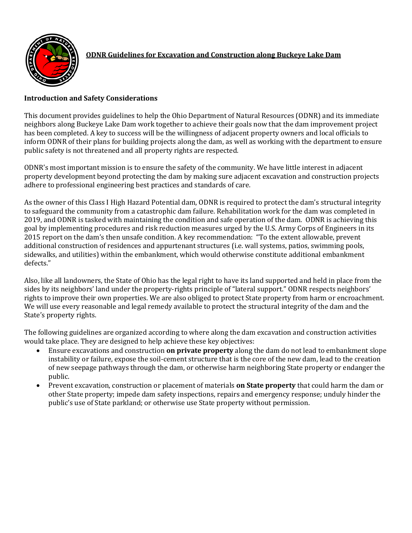

## **Introduction and Safety Considerations**

This document provides guidelines to help the Ohio Department of Natural Resources (ODNR) and its immediate neighbors along Buckeye Lake Dam work together to achieve their goals now that the dam improvement project has been completed. A key to success will be the willingness of adjacent property owners and local officials to inform ODNR of their plans for building projects along the dam, as well as working with the department to ensure public safety is not threatened and all property rights are respected.

ODNR's most important mission is to ensure the safety of the community. We have little interest in adjacent property development beyond protecting the dam by making sure adjacent excavation and construction projects adhere to professional engineering best practices and standards of care.

As the owner of this Class I High Hazard Potential dam, ODNR is required to protect the dam's structural integrity to safeguard the community from a catastrophic dam failure. Rehabilitation work for the dam was completed in 2019, and ODNR is tasked with maintaining the condition and safe operation of the dam. ODNR is achieving this goal by implementing procedures and risk reduction measures urged by the U.S. Army Corps of Engineers in its 2015 report on the dam's then unsafe condition. A key recommendation: "To the extent allowable, prevent additional construction of residences and appurtenant structures (i.e. wall systems, patios, swimming pools, sidewalks, and utilities) within the embankment, which would otherwise constitute additional embankment defects."

Also, like all landowners, the State of Ohio has the legal right to have its land supported and held in place from the sides by its neighbors' land under the property-rights principle of "lateral support." ODNR respects neighbors' rights to improve their own properties. We are also obliged to protect State property from harm or encroachment. We will use every reasonable and legal remedy available to protect the structural integrity of the dam and the State's property rights.

The following guidelines are organized according to where along the dam excavation and construction activities would take place. They are designed to help achieve these key objectives:

- Ensure excavations and construction **on private property** along the dam do not lead to embankment slope instability or failure, expose the soil-cement structure that is the core of the new dam, lead to the creation of new seepage pathways through the dam, or otherwise harm neighboring State property or endanger the public.
- Prevent excavation, construction or placement of materials **on State property** that could harm the dam or other State property; impede dam safety inspections, repairs and emergency response; unduly hinder the public's use of State parkland; or otherwise use State property without permission.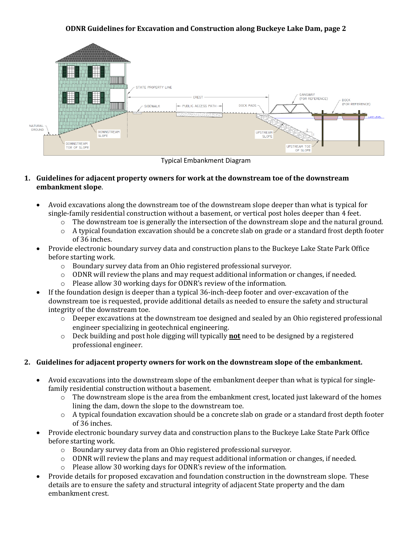#### **ODNR Guidelines for Excavation and Construction along Buckeye Lake Dam, page 2**



Typical Embankment Diagram

#### **1. Guidelines for adjacent property owners for work at the downstream toe of the downstream embankment slope**.

- Avoid excavations along the downstream toe of the downstream slope deeper than what is typical for single-family residential construction without a basement, or vertical post holes deeper than 4 feet.
	- o The downstream toe is generally the intersection of the downstream slope and the natural ground.
	- $\circ$  A typical foundation excavation should be a concrete slab on grade or a standard frost depth footer of 36 inches.
- Provide electronic boundary survey data and construction plans to the Buckeye Lake State Park Office before starting work.
	- o Boundary survey data from an Ohio registered professional surveyor.
	- $\circ$  ODNR will review the plans and may request additional information or changes, if needed.
	- o Please allow 30 working days for ODNR's review of the information.
- If the foundation design is deeper than a typical 36-inch-deep footer and over-excavation of the downstream toe is requested, provide additional details as needed to ensure the safety and structural integrity of the downstream toe.
	- $\circ$  Deeper excavations at the downstream toe designed and sealed by an Ohio registered professional engineer specializing in geotechnical engineering.
	- o Deck building and post hole digging will typically **not** need to be designed by a registered professional engineer.

## **2. Guidelines for adjacent property owners for work on the downstream slope of the embankment.**

- Avoid excavations into the downstream slope of the embankment deeper than what is typical for singlefamily residential construction without a basement.
	- $\circ$  The downstream slope is the area from the embankment crest, located just lakeward of the homes lining the dam, down the slope to the downstream toe.
	- o A typical foundation excavation should be a concrete slab on grade or a standard frost depth footer of 36 inches.
- Provide electronic boundary survey data and construction plans to the Buckeye Lake State Park Office before starting work.
	- o Boundary survey data from an Ohio registered professional surveyor.
	- $\circ$  ODNR will review the plans and may request additional information or changes, if needed.
	- o Please allow 30 working days for ODNR's review of the information.
- Provide details for proposed excavation and foundation construction in the downstream slope. These details are to ensure the safety and structural integrity of adjacent State property and the dam embankment crest.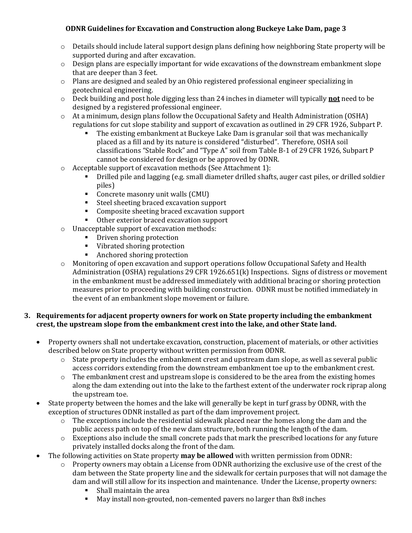## **ODNR Guidelines for Excavation and Construction along Buckeye Lake Dam, page 3**

- o Details should include lateral support design plans defining how neighboring State property will be supported during and after excavation.
- $\circ$  Design plans are especially important for wide excavations of the downstream embankment slope that are deeper than 3 feet.
- o Plans are designed and sealed by an Ohio registered professional engineer specializing in geotechnical engineering.
- o Deck building and post hole digging less than 24 inches in diameter will typically **not** need to be designed by a registered professional engineer.
- o At a minimum, design plans follow the Occupational Safety and Health Administration (OSHA) regulations for cut slope stability and support of excavation as outlined in 29 CFR 1926, Subpart P.
	- The existing embankment at Buckeye Lake Dam is granular soil that was mechanically placed as a fill and by its nature is considered "disturbed". Therefore, OSHA soil classifications "Stable Rock" and "Type A" soil from Table B-1 of 29 CFR 1926, Subpart P cannot be considered for design or be approved by ODNR.
- o Acceptable support of excavation methods (See Attachment 1):
	- Drilled pile and lagging (e.g. small diameter drilled shafts, auger cast piles, or drilled soldier piles)
	- Concrete masonry unit walls (CMU)
	- Steel sheeting braced excavation support
	- Composite sheeting braced excavation support
	- Other exterior braced excavation support
- o Unacceptable support of excavation methods:
	- **•** Driven shoring protection
	- Vibrated shoring protection
	- Anchored shoring protection
- o Monitoring of open excavation and support operations follow Occupational Safety and Health Administration (OSHA) regulations 29 CFR 1926.651(k) Inspections. Signs of distress or movement in the embankment must be addressed immediately with additional bracing or shoring protection measures prior to proceeding with building construction. ODNR must be notified immediately in the event of an embankment slope movement or failure.

## **3. Requirements for adjacent property owners for work on State property including the embankment crest, the upstream slope from the embankment crest into the lake, and other State land.**

- Property owners shall not undertake excavation, construction, placement of materials, or other activities described below on State property without written permission from ODNR.
	- $\circ$  State property includes the embankment crest and upstream dam slope, as well as several public access corridors extending from the downstream embankment toe up to the embankment crest.
	- $\circ$  The embankment crest and upstream slope is considered to be the area from the existing homes along the dam extending out into the lake to the farthest extent of the underwater rock riprap along the upstream toe.
- State property between the homes and the lake will generally be kept in turf grass by ODNR, with the exception of structures ODNR installed as part of the dam improvement project.
	- $\circ$  The exceptions include the residential sidewalk placed near the homes along the dam and the public access path on top of the new dam structure, both running the length of the dam.
	- o Exceptions also include the small concrete pads that mark the prescribed locations for any future privately installed docks along the front of the dam.
- The following activities on State property **may be allowed** with written permission from ODNR:
	- $\circ$  Property owners may obtain a License from ODNR authorizing the exclusive use of the crest of the dam between the State property line and the sidewalk for certain purposes that will not damage the dam and will still allow for its inspection and maintenance. Under the License, property owners:
		- Shall maintain the area
		- May install non-grouted, non-cemented pavers no larger than 8x8 inches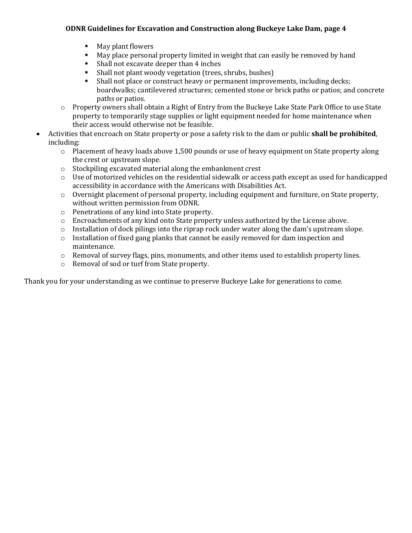## **ODNR Guidelines for Excavation and Construction along Buckeye Lake Dam, page 4**

- May plant flowers
- May place personal property limited in weight that can easily be removed by hand
- Shall not excavate deeper than 4 inches
- Shall not plant woody vegetation (trees, shrubs, bushes)
- Shall not place or construct heavy or permanent improvements, including decks; boardwalks; cantilevered structures; cemented stone or brick paths or patios; and concrete paths or patios.
- o Property owners shall obtain a Right of Entry from the Buckeye Lake State Park Office to use State property to temporarily stage supplies or light equipment needed for home maintenance when their access would otherwise not be feasible.
- Activities that encroach on State property or pose a safety risk to the dam or public **shall be prohibited**, including:
	- $\circ$  Placement of heavy loads above 1,500 pounds or use of heavy equipment on State property along the crest or upstream slope.
	- o Stockpiling excavated material along the embankment crest
	- $\circ$  Use of motorized vehicles on the residential sidewalk or access path except as used for handicapped accessibility in accordance with the Americans with Disabilities Act.
	- $\circ$  Overnight placement of personal property, including equipment and furniture, on State property, without written permission from ODNR.
	- o Penetrations of any kind into State property.
	- o Encroachments of any kind onto State property unless authorized by the License above.
	- $\circ$  Installation of dock pilings into the riprap rock under water along the dam's upstream slope.
	- $\circ$  Installation of fixed gang planks that cannot be easily removed for dam inspection and maintenance.
	- o Removal of survey flags, pins, monuments, and other items used to establish property lines.
	- o Removal of sod or turf from State property.

Thank you for your understanding as we continue to preserve Buckeye Lake for generations to come.